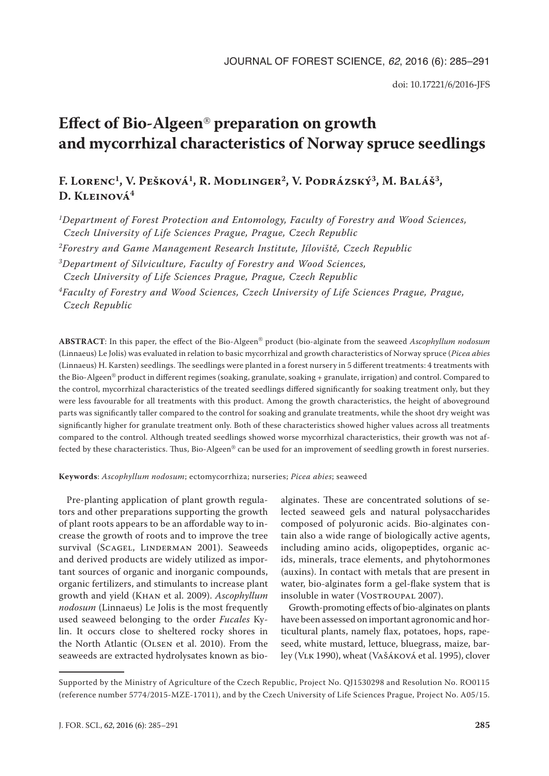doi: 10.17221/6/2016-JFS

# **Effect of Bio-Algeen® preparation on growth and mycorrhizal characteristics of Norway spruce seedlings**

## **F. Lorenc1, V. Pešková1, R. Modlinger2, V. Podrázský3, M. Baláš3, D. Kleinová<sup>4</sup>**

*1Department of Forest Protection and Entomology, Faculty of Forestry and Wood Sciences, Czech University of Life Sciences Prague, Prague, Czech Republic*

*2Forestry and Game Management Research Institute, Jíloviště, Czech Republic*

*3Department of Silviculture, Faculty of Forestry and Wood Sciences, Czech University of Life Sciences Prague, Prague, Czech Republic*

*4Faculty of Forestry and Wood Sciences, Czech University of Life Sciences Prague, Prague, Czech Republic*

**ABSTRACT**: In this paper, the effect of the Bio-Algeen® product (bio-alginate from the seaweed *Ascophyllum nodosum* (Linnaeus) Le Jolis) was evaluated in relation to basic mycorrhizal and growth characteristics of Norway spruce (*Picea abies* (Linnaeus) H. Karsten) seedlings. The seedlings were planted in a forest nursery in 5 different treatments: 4 treatments with the Bio-Algeen® product in different regimes (soaking, granulate, soaking + granulate, irrigation) and control. Compared to the control, mycorrhizal characteristics of the treated seedlings differed significantly for soaking treatment only, but they were less favourable for all treatments with this product. Among the growth characteristics, the height of aboveground parts was significantly taller compared to the control for soaking and granulate treatments, while the shoot dry weight was significantly higher for granulate treatment only. Both of these characteristics showed higher values across all treatments compared to the control. Although treated seedlings showed worse mycorrhizal characteristics, their growth was not affected by these characteristics. Thus, Bio-Algeen® can be used for an improvement of seedling growth in forest nurseries.

#### **Keywords**: *Ascophyllum nodosum*; ectomycorrhiza; nurseries; *Picea abies*; seaweed

Pre-planting application of plant growth regulators and other preparations supporting the growth of plant roots appears to be an affordable way to increase the growth of roots and to improve the tree survival (SCAGEL, LINDERMAN 2001). Seaweeds and derived products are widely utilized as important sources of organic and inorganic compounds, organic fertilizers, and stimulants to increase plant growth and yield (Khan et al. 2009). *Ascophyllum nodosum* (Linnaeus) Le Jolis is the most frequently used seaweed belonging to the order *Fucales* Kylin. It occurs close to sheltered rocky shores in the North Atlantic (Olsen et al. 2010). From the seaweeds are extracted hydrolysates known as bio-

alginates. These are concentrated solutions of selected seaweed gels and natural polysaccharides composed of polyuronic acids. Bio-alginates contain also a wide range of biologically active agents, including amino acids, oligopeptides, organic acids, minerals, trace elements, and phytohormones (auxins). In contact with metals that are present in water, bio-alginates form a gel-flake system that is insoluble in water (VOSTROUPAL 2007).

Growth-promoting effects of bio-alginates on plants have been assessed on important agronomic and horticultural plants, namely flax, potatoes, hops, rapeseed, white mustard, lettuce, bluegrass, maize, barley (Vlk 1990), wheat (Vašáková et al. 1995), clover

Supported by the Ministry of Agriculture of the Czech Republic, Project No. QJ1530298 and Resolution No. RO0115 (reference number 5774/2015-MZE-17011), and by the Czech University of Life Sciences Prague, Project No. A05/15.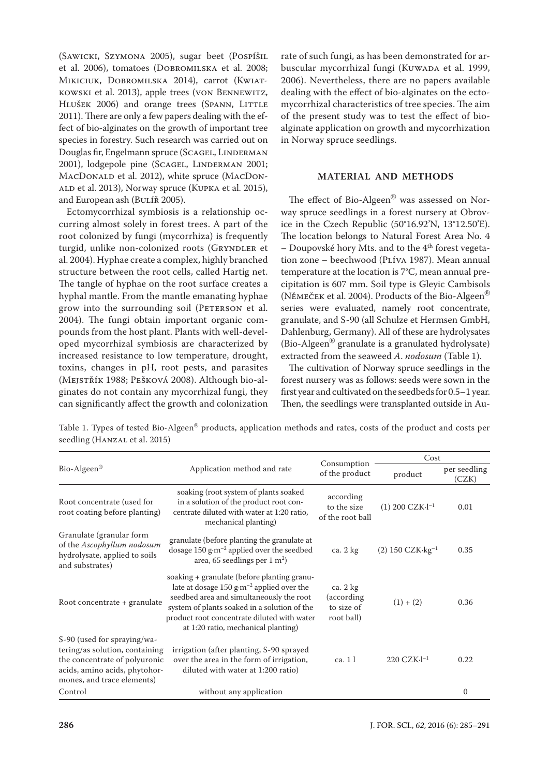(Sawicki, Szymona 2005), sugar beet (Pospíšil et al. 2006), tomatoes (Dobromilska et al. 2008; Mikiciuk, Dobromilska 2014), carrot (Kwiatkowski et al. 2013), apple trees (von Bennewitz, HLUŠEK 2006) and orange trees (SPANN, LITTLE 2011). There are only a few papers dealing with the effect of bio-alginates on the growth of important tree species in forestry. Such research was carried out on Douglas fir, Engelmann spruce (SCAGEL, LINDERMAN 2001), lodgepole pine (SCAGEL, LINDERMAN 2001; MacDonald et al. 2012), white spruce (MacDonald et al. 2013), Norway spruce (KUPKA et al. 2015), and European ash (Bulíř 2005).

Ectomycorrhizal symbiosis is a relationship occurring almost solely in forest trees. A part of the root colonized by fungi (mycorrhiza) is frequently turgid, unlike non-colonized roots (GRYNDLER et al. 2004). Hyphae create a complex, highly branched structure between the root cells, called Hartig net. The tangle of hyphae on the root surface creates a hyphal mantle. From the mantle emanating hyphae grow into the surrounding soil (PETERSON et al. 2004). The fungi obtain important organic compounds from the host plant. Plants with well-developed mycorrhizal symbiosis are characterized by increased resistance to low temperature, drought, toxins, changes in pH, root pests, and parasites (Mejstřík 1988; Pešková 2008). Although bio-alginates do not contain any mycorrhizal fungi, they can significantly affect the growth and colonization

rate of such fungi, as has been demonstrated for arbuscular mycorrhizal fungi (KUWADA et al. 1999, 2006). Nevertheless, there are no papers available dealing with the effect of bio-alginates on the ectomycorrhizal characteristics of tree species. The aim of the present study was to test the effect of bioalginate application on growth and mycorrhization in Norway spruce seedlings.

### **MATERIAL AND METHODS**

The effect of Bio-Algeen® was assessed on Norway spruce seedlings in a forest nursery at Obrovice in the Czech Republic (50°16.92'N, 13°12.50'E). The location belongs to Natural Forest Area No. 4 – Doupovské hory Mts. and to the  $4<sup>th</sup>$  forest vegetation zone – beechwood (PLíva 1987). Mean annual temperature at the location is 7°C, mean annual precipitation is 607 mm. Soil type is Gleyic Cambisols (NĚMEČEK et al. 2004). Products of the Bio-Algeen<sup>®</sup> series were evaluated, namely root concentrate, granulate, and S-90 (all Schulze et Hermsen GmbH, Dahlenburg, Germany). All of these are hydrolysates (Bio-Algeen<sup>®</sup> granulate is a granulated hydrolysate) extracted from the seaweed *A*. *nodosum* (Table 1).

The cultivation of Norway spruce seedlings in the forest nursery was as follows: seeds were sown in the first year and cultivated on the seedbeds for 0.5–1 year. Then, the seedlings were transplanted outside in Au-

Table 1. Types of tested Bio-Algeen® products, application methods and rates, costs of the product and costs per seedling (HANZAL et al. 2015)

| Bio-Algeen <sup>®</sup>                                                                                                                                       |                                                                                                                                                                                                                                                                                          | Consumption                                          | Cost                                  |                       |
|---------------------------------------------------------------------------------------------------------------------------------------------------------------|------------------------------------------------------------------------------------------------------------------------------------------------------------------------------------------------------------------------------------------------------------------------------------------|------------------------------------------------------|---------------------------------------|-----------------------|
|                                                                                                                                                               | Application method and rate                                                                                                                                                                                                                                                              | of the product                                       | product                               | per seedling<br>(CZK) |
| Root concentrate (used for<br>root coating before planting)                                                                                                   | soaking (root system of plants soaked<br>in a solution of the product root con-<br>centrate diluted with water at 1:20 ratio,<br>mechanical planting)                                                                                                                                    | according<br>to the size<br>of the root ball         | $(1)$ 200 CZK $\cdot$ l <sup>-1</sup> | 0.01                  |
| Granulate (granular form<br>of the Ascophyllum nodosum<br>hydrolysate, applied to soils<br>and substrates)                                                    | granulate (before planting the granulate at<br>dosage $150$ g·m <sup>-2</sup> applied over the seedbed<br>area, 65 seedlings per $1 \text{ m}^2$ )                                                                                                                                       | ca. 2 kg                                             | (2) $150 \text{ CZK-kg}^{-1}$         | 0.35                  |
| Root concentrate + granulate                                                                                                                                  | soaking + granulate (before planting granu-<br>late at dosage $150$ g·m <sup>-2</sup> applied over the<br>seedbed area and simultaneously the root<br>system of plants soaked in a solution of the<br>product root concentrate diluted with water<br>at 1:20 ratio, mechanical planting) | ca. $2$ kg<br>(according<br>to size of<br>root ball) | $(1) + (2)$                           | 0.36                  |
| S-90 (used for spraying/wa-<br>tering/as solution, containing<br>the concentrate of polyuronic<br>acids, amino acids, phytohor-<br>mones, and trace elements) | irrigation (after planting, S-90 sprayed<br>over the area in the form of irrigation,<br>diluted with water at 1:200 ratio)                                                                                                                                                               | ca.11                                                | $220 \text{ CZK-l}^{-1}$              | 0.22                  |
| Control                                                                                                                                                       | without any application                                                                                                                                                                                                                                                                  |                                                      |                                       | $\Omega$              |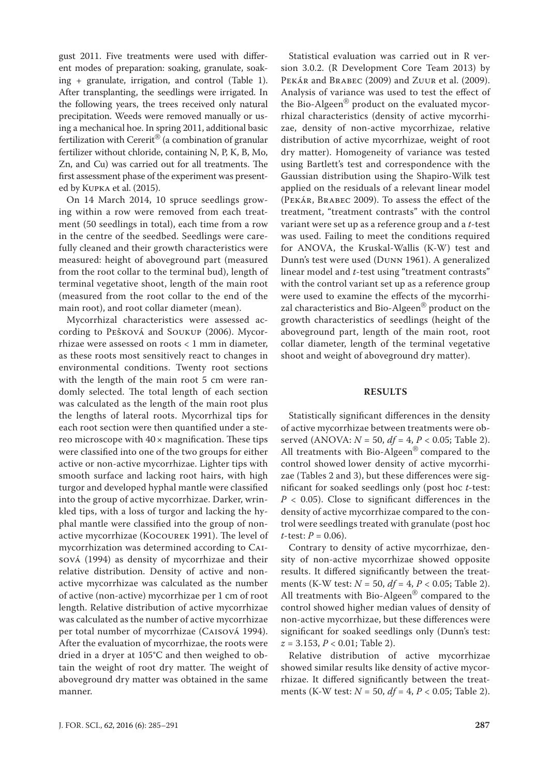gust 2011. Five treatments were used with different modes of preparation: soaking, granulate, soaking + granulate, irrigation, and control (Table 1). After transplanting, the seedlings were irrigated. In the following years, the trees received only natural precipitation. Weeds were removed manually or using a mechanical hoe. In spring 2011, additional basic fertilization with Cererit<sup>®</sup> (a combination of granular fertilizer without chloride, containing N, P, K, B, Mo, Zn, and Cu) was carried out for all treatments. The first assessment phase of the experiment was presented by Kupka et al. (2015).

On 14 March 2014, 10 spruce seedlings growing within a row were removed from each treatment (50 seedlings in total), each time from a row in the centre of the seedbed. Seedlings were carefully cleaned and their growth characteristics were measured: height of aboveground part (measured from the root collar to the terminal bud), length of terminal vegetative shoot, length of the main root (measured from the root collar to the end of the main root), and root collar diameter (mean).

Mycorrhizal characteristics were assessed according to Pešková and Soukup (2006). Mycorrhizae were assessed on roots < 1 mm in diameter, as these roots most sensitively react to changes in environmental conditions. Twenty root sections with the length of the main root 5 cm were randomly selected. The total length of each section was calculated as the length of the main root plus the lengths of lateral roots. Mycorrhizal tips for each root section were then quantified under a stereo microscope with  $40 \times$  magnification. These tips were classified into one of the two groups for either active or non-active mycorrhizae. Lighter tips with smooth surface and lacking root hairs, with high turgor and developed hyphal mantle were classified into the group of active mycorrhizae. Darker, wrinkled tips, with a loss of turgor and lacking the hyphal mantle were classified into the group of nonactive mycorrhizae (Kocourek 1991). The level of mycorrhization was determined according to Caisová (1994) as density of mycorrhizae and their relative distribution. Density of active and nonactive mycorrhizae was calculated as the number of active (non-active) mycorrhizae per 1 cm of root length. Relative distribution of active mycorrhizae was calculated as the number of active mycorrhizae per total number of mycorrhizae (Caisová 1994). After the evaluation of mycorrhizae, the roots were dried in a dryer at 105°C and then weighed to obtain the weight of root dry matter. The weight of aboveground dry matter was obtained in the same manner.

Statistical evaluation was carried out in R version 3.0.2. (R Development Core Team 2013) by Pekár and Brabec (2009) and Zuur et al. (2009). Analysis of variance was used to test the effect of the Bio-Algeen $^{\circledR}$  product on the evaluated mycorrhizal characteristics (density of active mycorrhizae, density of non-active mycorrhizae, relative distribution of active mycorrhizae, weight of root dry matter). Homogeneity of variance was tested using Bartlett's test and correspondence with the Gaussian distribution using the Shapiro-Wilk test applied on the residuals of a relevant linear model (Pekár, Brabec 2009). To assess the effect of the treatment, "treatment contrasts" with the control variant were set up as a reference group and a *t*-test was used. Failing to meet the conditions required for ANOVA, the Kruskal-Wallis (K-W) test and Dunn's test were used (Dunn 1961). A generalized linear model and *t*-test using "treatment contrasts" with the control variant set up as a reference group were used to examine the effects of the mycorrhizal characteristics and Bio-Algeen<sup>®</sup> product on the growth characteristics of seedlings (height of the aboveground part, length of the main root, root collar diameter, length of the terminal vegetative shoot and weight of aboveground dry matter).

#### **RESULTS**

Statistically significant differences in the density of active mycorrhizae between treatments were observed (ANOVA: *N* = 50, *df* = 4, *P* < 0.05; Table 2). All treatments with Bio-Algeen<sup>®</sup> compared to the control showed lower density of active mycorrhizae (Tables 2 and 3), but these differences were significant for soaked seedlings only (post hoc *t*-test: *P* < 0.05). Close to significant differences in the density of active mycorrhizae compared to the control were seedlings treated with granulate (post hoc  $t$ -test:  $P = 0.06$ ).

Contrary to density of active mycorrhizae, density of non-active mycorrhizae showed opposite results. It differed significantly between the treatments (K-W test: *N* = 50, *df* = 4, *P* < 0.05; Table 2). All treatments with Bio-Algeen<sup>®</sup> compared to the control showed higher median values of density of non-active mycorrhizae, but these differences were significant for soaked seedlings only (Dunn's test: *z* = 3.153, *P* < 0.01; Table 2).

Relative distribution of active mycorrhizae showed similar results like density of active mycorrhizae. It differed significantly between the treatments (K-W test: *N* = 50, *df* = 4, *P* < 0.05; Table 2).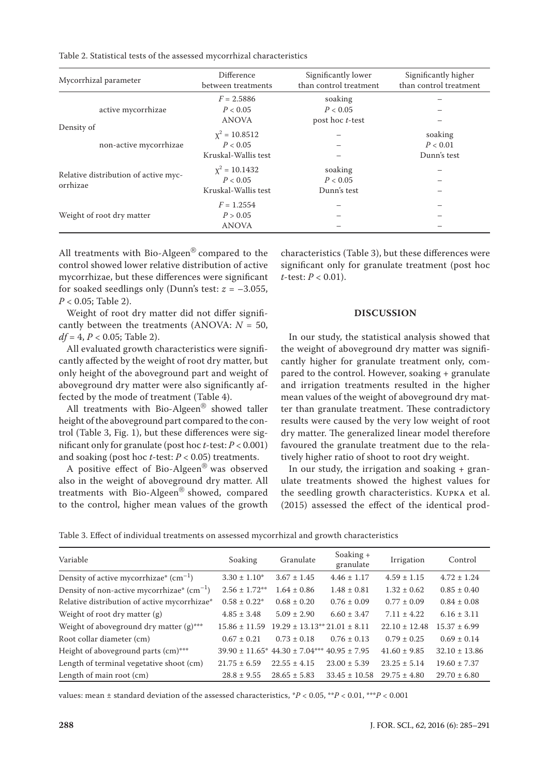Table 2. Statistical tests of the assessed mycorrhizal characteristics

|                           | Mycorrhizal parameter                | Difference<br>between treatments                   | Significantly lower<br>than control treatment  | Significantly higher<br>than control treatment |
|---------------------------|--------------------------------------|----------------------------------------------------|------------------------------------------------|------------------------------------------------|
|                           | active mycorrhizae                   | $F = 2.5886$<br>P < 0.05<br><b>ANOVA</b>           | soaking<br>P < 0.05<br>post hoc <i>t</i> -test |                                                |
| Density of                | non-active mycorrhizae               | $x^2 = 10.8512$<br>P < 0.05<br>Kruskal-Wallis test |                                                | soaking<br>P < 0.01<br>Dunn's test             |
| orrhizae                  | Relative distribution of active myc- | $x^2 = 10.1432$<br>P < 0.05<br>Kruskal-Wallis test | soaking<br>P < 0.05<br>Dunn's test             |                                                |
| Weight of root dry matter |                                      | $F = 1.2554$<br>P > 0.05<br><b>ANOVA</b>           |                                                |                                                |

All treatments with Bio-Algeen<sup>®</sup> compared to the control showed lower relative distribution of active mycorrhizae, but these differences were significant for soaked seedlings only (Dunn's test:  $z = -3.055$ , *P* < 0.05; Table 2).

Weight of root dry matter did not differ significantly between the treatments (ANOVA: *N* = 50, *df* = 4, *P* < 0.05; Table 2).

All evaluated growth characteristics were significantly affected by the weight of root dry matter, but only height of the aboveground part and weight of aboveground dry matter were also significantly affected by the mode of treatment (Table 4).

All treatments with Bio-Algeen® showed taller height of the aboveground part compared to the control (Table 3, Fig. 1), but these differences were significant only for granulate (post hoc  $t$ -test:  $P < 0.001$ ) and soaking (post hoc *t*-test: *P* < 0.05) treatments.

A positive effect of Bio-Algeen® was observed also in the weight of aboveground dry matter. All treatments with Bio-Algeen® showed, compared to the control, higher mean values of the growth characteristics (Table 3), but these differences were significant only for granulate treatment (post hoc *t*-test: *P* < 0.01).

#### **DISCUSSION**

In our study, the statistical analysis showed that the weight of aboveground dry matter was significantly higher for granulate treatment only, compared to the control. However, soaking + granulate and irrigation treatments resulted in the higher mean values of the weight of aboveground dry matter than granulate treatment. These contradictory results were caused by the very low weight of root dry matter. The generalized linear model therefore favoured the granulate treatment due to the relatively higher ratio of shoot to root dry weight.

In our study, the irrigation and soaking + granulate treatments showed the highest values for the seedling growth characteristics. Kupka et al. (2015) assessed the effect of the identical prod-

Table 3. Effect of individual treatments on assessed mycorrhizal and growth characteristics

| Variable                                              | Soaking           | Granulate                                                 | Soaking $+$<br>granulate | Irrigation        | Control           |
|-------------------------------------------------------|-------------------|-----------------------------------------------------------|--------------------------|-------------------|-------------------|
| Density of active mycorrhizae* $(cm-1)$               | $3.30 \pm 1.10^*$ | $3.67 \pm 1.45$                                           | $4.46 \pm 1.17$          | $4.59 \pm 1.15$   | $4.72 \pm 1.24$   |
| Density of non-active mycorrhizae* $(cm-1)$           | $2.56 \pm 1.72**$ | $1.64 \pm 0.86$                                           | $1.48 \pm 0.81$          | $1.32 \pm 0.62$   | $0.85 \pm 0.40$   |
| Relative distribution of active mycorrhizae*          | $0.58 \pm 0.22^*$ | $0.68 \pm 0.20$                                           | $0.76 \pm 0.09$          | $0.77 \pm 0.09$   | $0.84 \pm 0.08$   |
| Weight of root dry matter (g)                         | $4.85 \pm 3.48$   | $5.09 \pm 2.90$                                           | $6.60 \pm 3.47$          | $7.11 \pm 4.22$   | $6.16 \pm 3.11$   |
| Weight of aboveground dry matter $(g)$ <sup>***</sup> | $15.86 \pm 11.59$ | $19.29 \pm 13.13**21.01 \pm 8.11$                         |                          | $22.10 \pm 12.48$ | $15.37 \pm 6.99$  |
| Root collar diameter (cm)                             | $0.67 \pm 0.21$   | $0.73 \pm 0.18$                                           | $0.76 \pm 0.13$          | $0.79 \pm 0.25$   | $0.69 \pm 0.14$   |
| Height of aboveground parts (cm)***                   |                   | $39.90 \pm 11.65$ * 44.30 $\pm 7.04$ *** 40.95 $\pm 7.95$ |                          | $41.60 \pm 9.85$  | $32.10 \pm 13.86$ |
| Length of terminal vegetative shoot (cm)              | $21.75 \pm 6.59$  | $22.55 \pm 4.15$                                          | $23.00 \pm 5.39$         | $23.25 \pm 5.14$  | $19.60 \pm 7.37$  |
| Length of main root (cm)                              | $28.8 \pm 9.55$   | $28.65 \pm 5.83$                                          | $33.45 \pm 10.58$        | $29.75 \pm 4.80$  | $29.70 \pm 6.80$  |

values: mean ± standard deviation of the assessed characteristics, \**P* < 0.05, \*\**P* < 0.01, \*\*\**P* < 0.001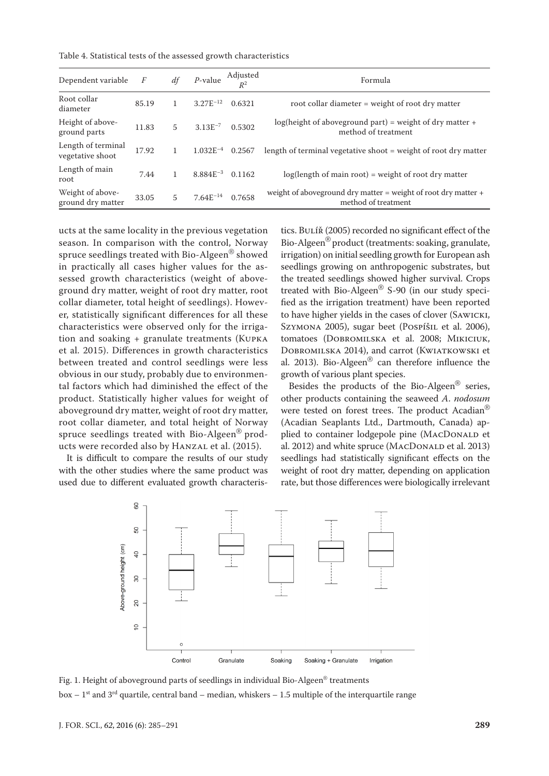Table 4. Statistical tests of the assessed growth characteristics

| Dependent variable                     | $\overline{F}$ | df | $P$ -value    | Adjusted<br>$R^2$ | Formula                                                                               |
|----------------------------------------|----------------|----|---------------|-------------------|---------------------------------------------------------------------------------------|
| Root collar<br>diameter                | 85.19          |    | $3.27E^{-12}$ | 0.6321            | root collar diameter = weight of root dry matter                                      |
| Height of above-<br>ground parts       | 11.83          | 5  | $3.13E^{-7}$  | 0.5302            | $log(height of above ground part) = weight of dry matter +$<br>method of treatment    |
| Length of terminal<br>vegetative shoot | 17.92          |    | $1.032E^{-4}$ | 0.2567            | length of terminal vegetative shoot = weight of root dry matter                       |
| Length of main<br>root                 | 7.44           |    | $8.884E^{-3}$ | 0.1162            | $log(length of main root) = weight of root dry matter$                                |
| Weight of above-<br>ground dry matter  | 33.05          | 5  | $7.64E^{-14}$ | 0.7658            | weight of aboveground dry matter = weight of root dry matter +<br>method of treatment |

ucts at the same locality in the previous vegetation season. In comparison with the control, Norway spruce seedlings treated with Bio-Algeen® showed in practically all cases higher values for the assessed growth characteristics (weight of aboveground dry matter, weight of root dry matter, root collar diameter, total height of seedlings). However, statistically significant differences for all these characteristics were observed only for the irrigation and soaking + granulate treatments (Kupka et al. 2015). Differences in growth characteristics between treated and control seedlings were less obvious in our study, probably due to environmental factors which had diminished the effect of the product. Statistically higher values for weight of aboveground dry matter, weight of root dry matter, root collar diameter, and total height of Norway spruce seedlings treated with Bio-Algeen® products were recorded also by HANZAL et al. (2015).

It is difficult to compare the results of our study with the other studies where the same product was used due to different evaluated growth characteris-

tics. Bulíř (2005) recorded no significant effect of the Bio-Algeen® product (treatments: soaking, granulate, irrigation) on initial seedling growth for European ash seedlings growing on anthropogenic substrates, but the treated seedlings showed higher survival. Crops treated with Bio-Algeen<sup>®</sup> S-90 (in our study specified as the irrigation treatment) have been reported to have higher yields in the cases of clover (Sawicki, Szymona 2005), sugar beet (Pospíšil et al. 2006), tomatoes (Dobromilska et al. 2008; Mikiciuk, DOBROMILSKA 2014), and carrot (KWIATKOWSKI et al. 2013). Bio-Algeen® can therefore influence the growth of various plant species.

Besides the products of the Bio-Algeen<sup>®</sup> series, other products containing the seaweed *A*. *nodosum* were tested on forest trees. The product Acadian<sup>®</sup> (Acadian Seaplants Ltd., Dartmouth, Canada) applied to container lodgepole pine (MACDONALD et al. 2012) and white spruce (MACDONALD et al. 2013) seedlings had statistically significant effects on the weight of root dry matter, depending on application rate, but those differences were biologically irrelevant



Fig. 1. Height of aboveground parts of seedlings in individual Bio-Algeen® treatments  $box - 1$ <sup>st</sup> and  $3<sup>rd</sup>$  quartile, central band – median, whiskers – 1.5 multiple of the interquartile range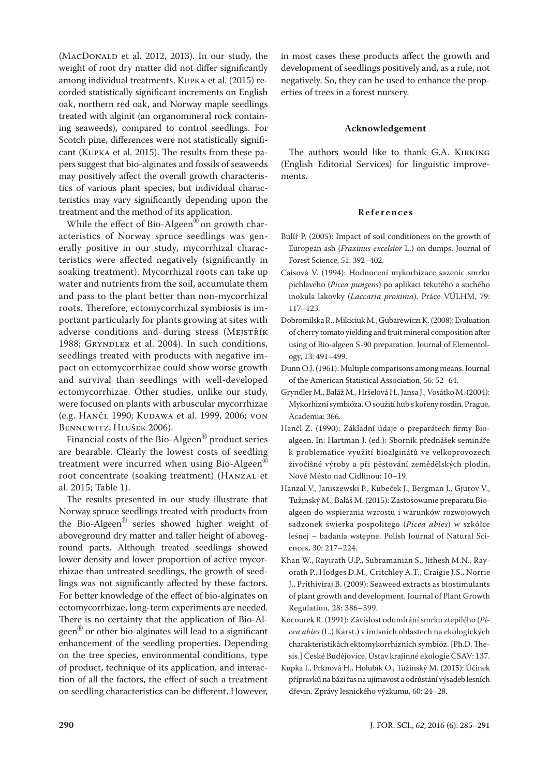(MacDonald et al. 2012, 2013). In our study, the weight of root dry matter did not differ significantly among individual treatments. Kupka et al. (2015) recorded statistically significant increments on English oak, northern red oak, and Norway maple seedlings treated with alginit (an organomineral rock containing seaweeds), compared to control seedlings. For Scotch pine, differences were not statistically significant (Kupka et al. 2015). The results from these papers suggest that bio-alginates and fossils of seaweeds may positively affect the overall growth characteristics of various plant species, but individual characteristics may vary significantly depending upon the treatment and the method of its application.

While the effect of Bio-Algeen<sup>®</sup> on growth characteristics of Norway spruce seedlings was generally positive in our study, mycorrhizal characteristics were affected negatively (significantly in soaking treatment). Mycorrhizal roots can take up water and nutrients from the soil, accumulate them and pass to the plant better than non-mycorrhizal roots. Therefore, ectomycorrhizal symbiosis is important particularly for plants growing at sites with adverse conditions and during stress (MEJSTŘÍK 1988; GRYNDLER et al. 2004). In such conditions, seedlings treated with products with negative impact on ectomycorrhizae could show worse growth and survival than seedlings with well-developed ectomycorrhizae. Other studies, unlike our study, were focused on plants with arbuscular mycorrhizae (e.g. Hančl 1990; Kudawa et al. 1999, 2006; von BENNEWITZ, HLUŠEK 2006).

Financial costs of the Bio-Algeen® product series are bearable. Clearly the lowest costs of seedling treatment were incurred when using Bio-Algeen<sup>®</sup> root concentrate (soaking treatment) (HANZAL et al. 2015; Table 1).

The results presented in our study illustrate that Norway spruce seedlings treated with products from the Bio-Algeen® series showed higher weight of aboveground dry matter and taller height of aboveground parts. Although treated seedlings showed lower density and lower proportion of active mycorrhizae than untreated seedlings, the growth of seedlings was not significantly affected by these factors. For better knowledge of the effect of bio-alginates on ectomycorrhizae, long-term experiments are needed. There is no certainty that the application of Bio-Algeen® or other bio-alginates will lead to a significant enhancement of the seedling properties. Depending on the tree species, environmental conditions, type of product, technique of its application, and interaction of all the factors, the effect of such a treatment on seedling characteristics can be different. However,

in most cases these products affect the growth and development of seedlings positively and, as a rule, not negatively. So, they can be used to enhance the properties of trees in a forest nursery.

#### **Acknowledgement**

The authors would like to thank G.A. Kirking (English Editorial Services) for linguistic improvements.

#### **References**

- Bulíř P. (2005): Impact of soil conditioners on the growth of European ash (*Fraxinus excelsior* L.) on dumps. Journal of Forest Science, 51: 392–402.
- Caisová V. (1994): Hodnocení mykorhizace sazenic smrku pichlavého (*Picea pungens*) po aplikaci tekutého a suchého inokula lakovky (*Laccaria proxima*). Práce VÚLHM, 79: 117–123.
- Dobromilska R., Mikiciuk M., Gubarewiczi K. (2008): Evaluation of cherry tomato yielding and fruit mineral composition after using of Bio-algeen S-90 preparation. Journal of Elementology, 13: 491–499.
- Dunn O.J. (1961): Multiple comparisons among means. Journal of the American Statistical Association, 56: 52–64.
- Gryndler M., Baláž M., Hršelová H., Jansa J., Vosátko M. (2004): Mykorhizní symbióza. O soužití hub s kořeny rostlin. Prague, Academia: 366.
- Hančl Z. (1990): Základní údaje o preparátech firmy Bioalgeen. In: Hartman J. (ed.): Sborník přednášek semináře k problematice využití bioalginátů ve velkoprovozech živočišné výroby a při pěstování zemědělských plodin, Nové Město nad Cidlinou: 10–19.
- Hanzal V., Janiszewski P., Kubeček J., Bergman J., Gjurov V., Tužinský M., Baláš M. (2015): Zastosowanie preparatu Bioalgeen do wspierania wzrostu i warunków rozwojowych sadzonek świerka pospolitego (*Picea abies*) w szkółce leśnej – badania wstępne. Polish Journal of Natural Sciences, 30: 217–224.
- Khan W., Rayirath U.P., Subramanian S., Jithesh M.N., Rayorath P., Hodges D.M., Critchley A.T., Craigie J.S., Norrie J., Prithiviraj B. (2009): Seaweed extracts as biostimulants of plant growth and development. Journal of Plant Growth Regulation, 28: 386–399.
- Kocourek R. (1991): Závislost odumírání smrku ztepilého (*Picea abies* (L.) Karst.) v imisních oblastech na ekologických charakteristikách ektomykorrhizních symbióz. [Ph.D. Thesis.] České Budějovice, Ústav krajinné ekologie ČSAV: 137.
- Kupka I., Prknová H., Holubík O., Tužinský M. (2015): Účinek přípravků na bázi řas na ujímavost a odrůstání výsadeb lesních dřevin. Zprávy lesnického výzkumu, 60: 24–28.